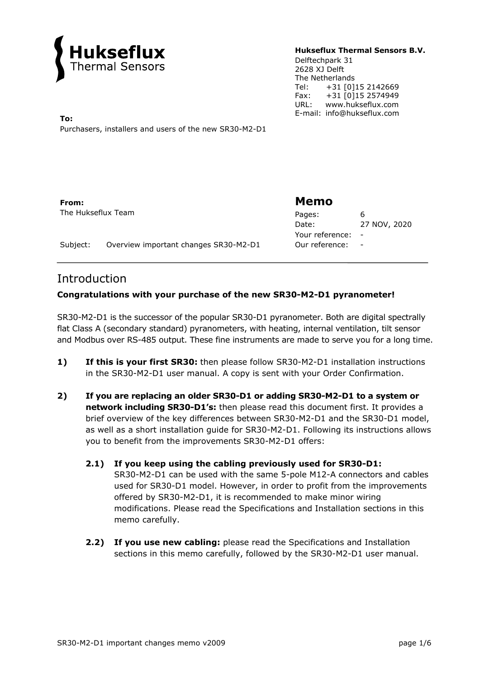

#### **Hukseflux Thermal Sensors B.V.**

Delftechpark 31 2628 XJ Delft The Netherlands Tel: +31 [0]15 2142669<br>Fax: +31 [0]15 2574949 Fax: +31 [0]15 2574949 URL: www.hukseflux.com

E-mail: info@hukseflux.com **To:**  Purchasers, installers and users of the new SR30-M2-D1

**From:**  The Hukseflux Team

# **Memo**

| 6            |
|--------------|
| 27 NOV, 2020 |
|              |
|              |
|              |

Subject: Overview important changes SR30-M2-D1

# Introduction

# **Congratulations with your purchase of the new SR30-M2-D1 pyranometer!**

SR30-M2-D1 is the successor of the popular SR30-D1 pyranometer. Both are digital spectrally flat Class A (secondary standard) pyranometers, with heating, internal ventilation, tilt sensor and Modbus over RS-485 output. These fine instruments are made to serve you for a long time.

- **1) If this is your first SR30:** then please follow SR30-M2-D1 installation instructions in the SR30-M2-D1 user manual. A copy is sent with your Order Confirmation.
- **2) If you are replacing an older SR30-D1 or adding SR30-M2-D1 to a system or network including SR30-D1's:** then please read this document first. It provides a brief overview of the key differences between SR30-M2-D1 and the SR30-D1 model, as well as a short installation guide for SR30-M2-D1. Following its instructions allows you to benefit from the improvements SR30-M2-D1 offers:
	- **2.1) If you keep using the cabling previously used for SR30-D1:** SR30-M2-D1 can be used with the same 5-pole M12-A connectors and cables used for SR30-D1 model. However, in order to profit from the improvements offered by SR30-M2-D1, it is recommended to make minor wiring modifications. Please read the Specifications and Installation sections in this memo carefully.
	- **2.2) If you use new cabling:** please read the Specifications and Installation sections in this memo carefully, followed by the SR30-M2-D1 user manual.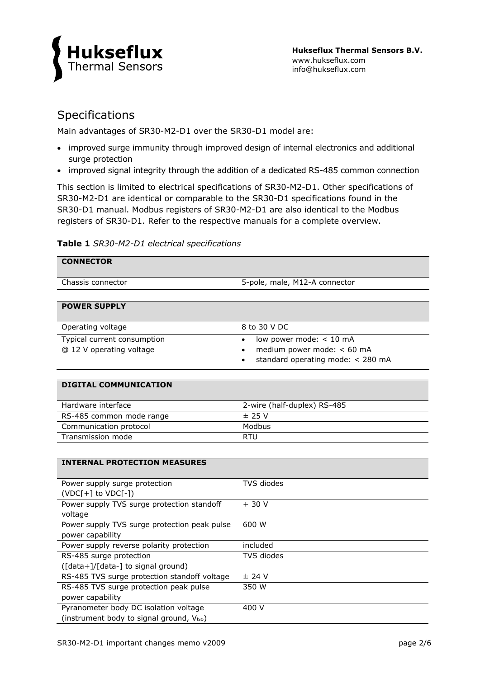

# Specifications

Main advantages of SR30-M2-D1 over the SR30-D1 model are:

- improved surge immunity through improved design of internal electronics and additional surge protection
- improved signal integrity through the addition of a dedicated RS-485 common connection

This section is limited to electrical specifications of SR30-M2-D1. Other specifications of SR30-M2-D1 are identical or comparable to the SR30-D1 specifications found in the SR30-D1 manual. Modbus registers of SR30-M2-D1 are also identical to the Modbus registers of SR30-D1. Refer to the respective manuals for a complete overview.

## **Table 1** *SR30-M2-D1 electrical specifications*

| <b>CONNECTOR</b>                                                                  |                                                                                                                      |  |
|-----------------------------------------------------------------------------------|----------------------------------------------------------------------------------------------------------------------|--|
| Chassis connector                                                                 | 5-pole, male, M12-A connector                                                                                        |  |
|                                                                                   |                                                                                                                      |  |
| <b>POWER SUPPLY</b>                                                               |                                                                                                                      |  |
| Operating voltage                                                                 | 8 to 30 V DC                                                                                                         |  |
| Typical current consumption<br>@ 12 V operating voltage                           | low power mode: < 10 mA<br>$\bullet$<br>medium power mode: < 60 mA<br>$\bullet$<br>standard operating mode: < 280 mA |  |
| <b>DIGITAL COMMUNICATION</b>                                                      |                                                                                                                      |  |
| Hardware interface                                                                | 2-wire (half-duplex) RS-485                                                                                          |  |
| RS-485 common mode range                                                          | ± 25V                                                                                                                |  |
| Communication protocol                                                            | Modbus                                                                                                               |  |
| Transmission mode                                                                 | <b>RTU</b>                                                                                                           |  |
|                                                                                   |                                                                                                                      |  |
| <b>INTERNAL PROTECTION MEASURES</b>                                               |                                                                                                                      |  |
| Power supply surge protection<br>$(VDC[+]$ to $VDC[-])$                           | <b>TVS</b> diodes                                                                                                    |  |
| Power supply TVS surge protection standoff<br>voltage                             | $+30V$                                                                                                               |  |
| Power supply TVS surge protection peak pulse<br>power capability                  | 600 W                                                                                                                |  |
| Power supply reverse polarity protection                                          | included                                                                                                             |  |
| RS-485 surge protection                                                           | TVS diodes                                                                                                           |  |
| ([data+]/[data-] to signal ground)                                                |                                                                                                                      |  |
| RS-485 TVS surge protection standoff voltage                                      | $±$ 24 V                                                                                                             |  |
| RS-485 TVS surge protection peak pulse                                            | 350 W                                                                                                                |  |
| power capability                                                                  |                                                                                                                      |  |
| Pyranometer body DC isolation voltage<br>(instrument body to signal ground, Viso) | 400 V                                                                                                                |  |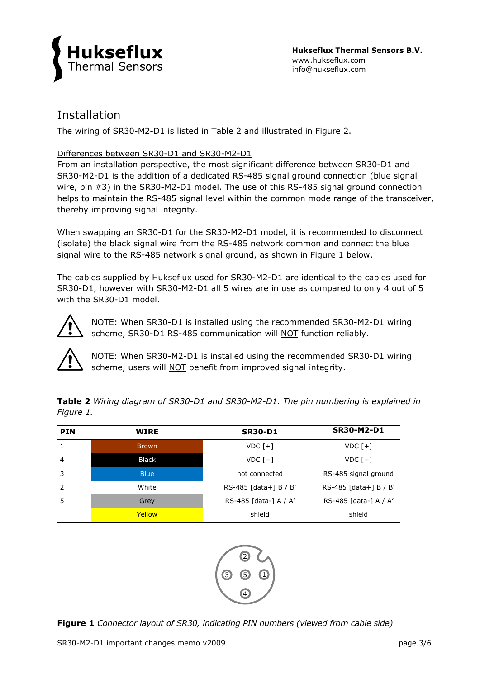

# Installation

The wiring of SR30-M2-D1 is listed in Table 2 and illustrated in Figure 2.

# Differences between SR30-D1 and SR30-M2-D1

From an installation perspective, the most significant difference between SR30-D1 and SR30-M2-D1 is the addition of a dedicated RS-485 signal ground connection (blue signal wire, pin #3) in the SR30-M2-D1 model. The use of this RS-485 signal ground connection helps to maintain the RS-485 signal level within the common mode range of the transceiver, thereby improving signal integrity.

When swapping an SR30-D1 for the SR30-M2-D1 model, it is recommended to disconnect (isolate) the black signal wire from the RS-485 network common and connect the blue signal wire to the RS-485 network signal ground, as shown in Figure 1 below.

The cables supplied by Hukseflux used for SR30-M2-D1 are identical to the cables used for SR30-D1, however with SR30-M2-D1 all 5 wires are in use as compared to only 4 out of 5 with the SR30-D1 model.



NOTE: When SR30-D1 is installed using the recommended SR30-M2-D1 wiring scheme, SR30-D1 RS-485 communication will NOT function reliably.



NOTE: When SR30-M2-D1 is installed using the recommended SR30-D1 wiring scheme, users will NOT benefit from improved signal integrity.

| <b>PIN</b>     | <b>WIRE</b>  | <b>SR30-D1</b>          | <b>SR30-M2-D1</b>       |
|----------------|--------------|-------------------------|-------------------------|
| $\mathbf{1}$   | Brown        | $VDC$ $[+]$             | $VDC$ [+]               |
| $\overline{4}$ | <b>Black</b> | $VDC$ $[-]$             | $VDC$ $[-]$             |
| 3              | <b>Blue</b>  | not connected           | RS-485 signal ground    |
| 2              | White        | $RS-485$ [data+] B / B' | $RS-485$ [data+] B / B' |
| -5             | Grey         | RS-485 [data-] A / A'   | RS-485 [data-] A / A'   |
|                | Yellow       | shield                  | shield                  |

**Table 2** *Wiring diagram of SR30-D1 and SR30-M2-D1. The pin numbering is explained in Figure 1.*



**Figure 1** *Connector layout of SR30, indicating PIN numbers (viewed from cable side)*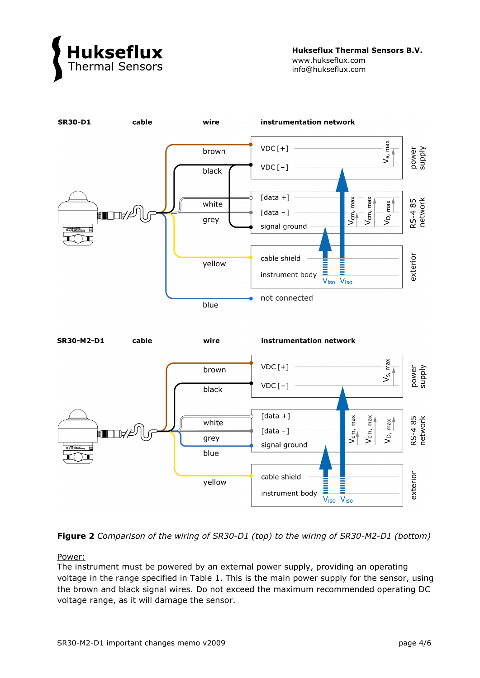

**Hukseflux Thermal Sensors B.V.** www.hukseflux.com info@hukseflux.com





Power:

The instrument must be powered by an external power supply, providing an operating voltage in the range specified in Table 1. This is the main power supply for the sensor, using the brown and black signal wires. Do not exceed the maximum recommended operating DC voltage range, as it will damage the sensor.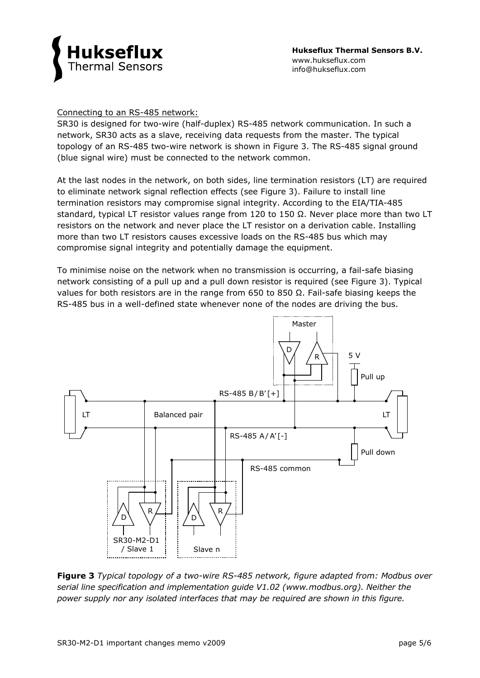

## Connecting to an RS-485 network:

SR30 is designed for two-wire (half-duplex) RS-485 network communication. In such a network, SR30 acts as a slave, receiving data requests from the master. The typical topology of an RS-485 two-wire network is shown in Figure 3. The RS-485 signal ground (blue signal wire) must be connected to the network common.

At the last nodes in the network, on both sides, line termination resistors (LT) are required to eliminate network signal reflection effects (see Figure 3). Failure to install line termination resistors may compromise signal integrity. According to the EIA/TIA-485 standard, typical LT resistor values range from 120 to 150  $\Omega$ . Never place more than two LT resistors on the network and never place the LT resistor on a derivation cable. Installing more than two LT resistors causes excessive loads on the RS-485 bus which may compromise signal integrity and potentially damage the equipment.

To minimise noise on the network when no transmission is occurring, a fail-safe biasing network consisting of a pull up and a pull down resistor is required (see Figure 3). Typical values for both resistors are in the range from 650 to 850  $\Omega$ . Fail-safe biasing keeps the RS-485 bus in a well-defined state whenever none of the nodes are driving the bus.



**Figure 3** *Typical topology of a two-wire RS-485 network, figure adapted from: Modbus over serial line specification and implementation guide V1.02 (www.modbus.org). Neither the power supply nor any isolated interfaces that may be required are shown in this figure.*